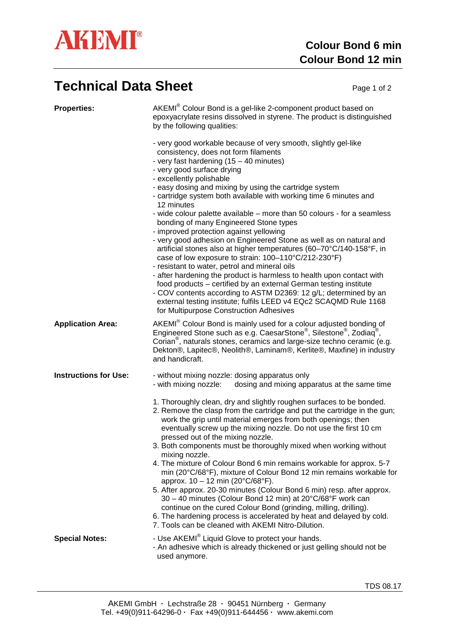

## **Technical Data Sheet** Page 1 of 2

| <b>Properties:</b>           | AKEMI <sup>®</sup> Colour Bond is a gel-like 2-component product based on<br>epoxyacrylate resins dissolved in styrene. The product is distinguished<br>by the following qualities:<br>- very good workable because of very smooth, slightly gel-like<br>consistency, does not form filaments<br>- very fast hardening $(15 - 40 \text{ minutes})$<br>- very good surface drying<br>- excellently polishable<br>- easy dosing and mixing by using the cartridge system<br>- cartridge system both available with working time 6 minutes and<br>12 minutes<br>- wide colour palette available – more than 50 colours - for a seamless<br>bonding of many Engineered Stone types<br>- improved protection against yellowing<br>- very good adhesion on Engineered Stone as well as on natural and<br>artificial stones also at higher temperatures (60-70°C/140-158°F, in<br>case of low exposure to strain: 100-110°C/212-230°F)<br>- resistant to water, petrol and mineral oils<br>- after hardening the product is harmless to health upon contact with<br>food products - certified by an external German testing institute<br>- COV contents according to ASTM D2369: 12 g/L; determined by an<br>external testing institute; fulfils LEED v4 EQc2 SCAQMD Rule 1168<br>for Multipurpose Construction Adhesives |
|------------------------------|--------------------------------------------------------------------------------------------------------------------------------------------------------------------------------------------------------------------------------------------------------------------------------------------------------------------------------------------------------------------------------------------------------------------------------------------------------------------------------------------------------------------------------------------------------------------------------------------------------------------------------------------------------------------------------------------------------------------------------------------------------------------------------------------------------------------------------------------------------------------------------------------------------------------------------------------------------------------------------------------------------------------------------------------------------------------------------------------------------------------------------------------------------------------------------------------------------------------------------------------------------------------------------------------------------------------|
| <b>Application Area:</b>     | AKEMI <sup>®</sup> Colour Bond is mainly used for a colour adjusted bonding of<br>Engineered Stone such as e.g. CaesarStone®, Silestone®, Zodiaq®,<br>Corian <sup>®</sup> , naturals stones, ceramics and large-size techno ceramic (e.g.<br>Dekton®, Lapitec®, Neolith®, Laminam®, Kerlite®, Maxfine) in industry<br>and handicraft.                                                                                                                                                                                                                                                                                                                                                                                                                                                                                                                                                                                                                                                                                                                                                                                                                                                                                                                                                                              |
| <b>Instructions for Use:</b> | - without mixing nozzle: dosing apparatus only<br>- with mixing nozzle:<br>dosing and mixing apparatus at the same time<br>1. Thoroughly clean, dry and slightly roughen surfaces to be bonded.<br>2. Remove the clasp from the cartridge and put the cartridge in the gun;<br>work the grip until material emerges from both openings; then<br>eventually screw up the mixing nozzle. Do not use the first 10 cm<br>pressed out of the mixing nozzle.<br>3. Both components must be thoroughly mixed when working without<br>mixing nozzle.<br>4. The mixture of Colour Bond 6 min remains workable for approx. 5-7<br>min (20°C/68°F), mixture of Colour Bond 12 min remains workable for<br>approx. 10 - 12 min (20°C/68°F).<br>5. After approx. 20-30 minutes (Colour Bond 6 min) resp. after approx.<br>30 - 40 minutes (Colour Bond 12 min) at 20°C/68°F work can<br>continue on the cured Colour Bond (grinding, milling, drilling).<br>6. The hardening process is accelerated by heat and delayed by cold.<br>7. Tools can be cleaned with AKEMI Nitro-Dilution.                                                                                                                                                                                                                                          |
| <b>Special Notes:</b>        | - Use AKEMI <sup>®</sup> Liquid Glove to protect your hands.<br>- An adhesive which is already thickened or just gelling should not be<br>used anymore.                                                                                                                                                                                                                                                                                                                                                                                                                                                                                                                                                                                                                                                                                                                                                                                                                                                                                                                                                                                                                                                                                                                                                            |

TDS 08.17